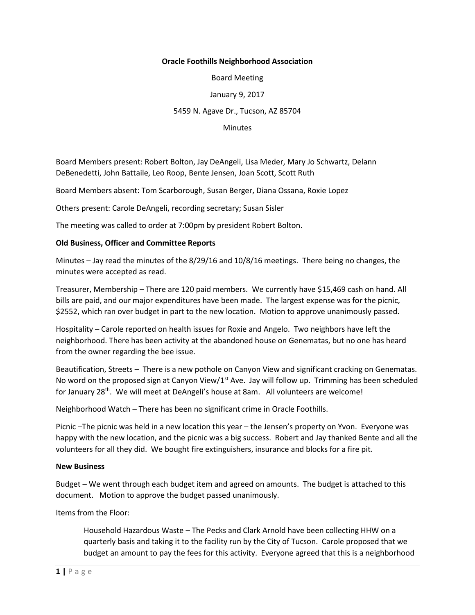## **Oracle Foothills Neighborhood Association**

Board Meeting

January 9, 2017

## 5459 N. Agave Dr., Tucson, AZ 85704

**Minutes** 

Board Members present: Robert Bolton, Jay DeAngeli, Lisa Meder, Mary Jo Schwartz, Delann DeBenedetti, John Battaile, Leo Roop, Bente Jensen, Joan Scott, Scott Ruth

Board Members absent: Tom Scarborough, Susan Berger, Diana Ossana, Roxie Lopez

Others present: Carole DeAngeli, recording secretary; Susan Sisler

The meeting was called to order at 7:00pm by president Robert Bolton.

## **Old Business, Officer and Committee Reports**

Minutes – Jay read the minutes of the 8/29/16 and 10/8/16 meetings. There being no changes, the minutes were accepted as read.

Treasurer, Membership – There are 120 paid members. We currently have \$15,469 cash on hand. All bills are paid, and our major expenditures have been made. The largest expense was for the picnic, \$2552, which ran over budget in part to the new location. Motion to approve unanimously passed.

Hospitality – Carole reported on health issues for Roxie and Angelo. Two neighbors have left the neighborhood. There has been activity at the abandoned house on Genematas, but no one has heard from the owner regarding the bee issue.

Beautification, Streets – There is a new pothole on Canyon View and significant cracking on Genematas. No word on the proposed sign at Canyon View/ $1<sup>st</sup>$  Ave. Jay will follow up. Trimming has been scheduled for January 28<sup>th</sup>. We will meet at DeAngeli's house at 8am. All volunteers are welcome!

Neighborhood Watch – There has been no significant crime in Oracle Foothills.

Picnic –The picnic was held in a new location this year – the Jensen's property on Yvon. Everyone was happy with the new location, and the picnic was a big success. Robert and Jay thanked Bente and all the volunteers for all they did. We bought fire extinguishers, insurance and blocks for a fire pit.

## **New Business**

Budget – We went through each budget item and agreed on amounts. The budget is attached to this document. Motion to approve the budget passed unanimously.

Items from the Floor:

Household Hazardous Waste – The Pecks and Clark Arnold have been collecting HHW on a quarterly basis and taking it to the facility run by the City of Tucson. Carole proposed that we budget an amount to pay the fees for this activity. Everyone agreed that this is a neighborhood